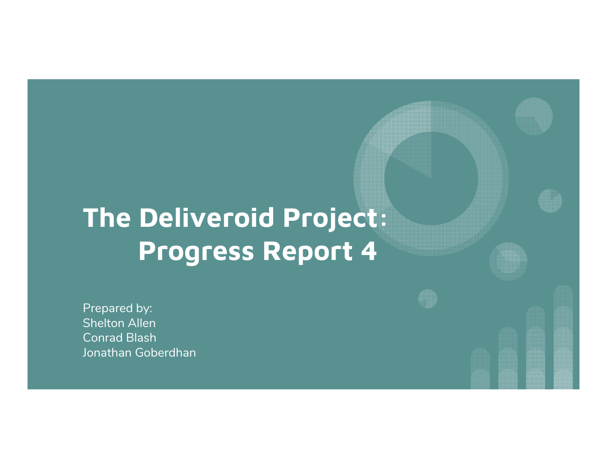# **The Deliveroid Project: Progress Report 4**

Prepared by: Shelton Allen Conrad Blash Jonathan Goberdhan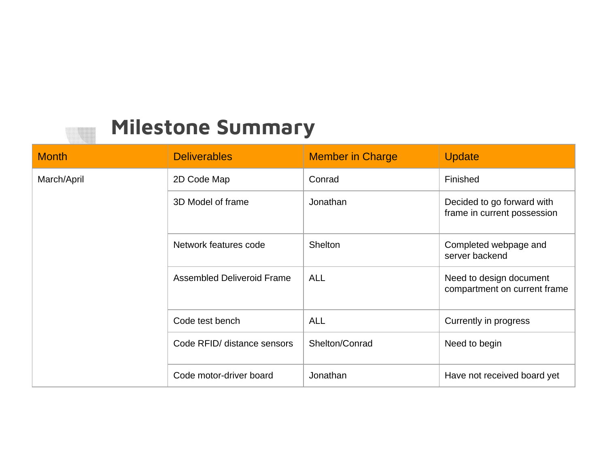### **Milestone Summary**

| <b>Month</b> | <b>Deliverables</b>         | <b>Member in Charge</b> | <b>Update</b>                                             |
|--------------|-----------------------------|-------------------------|-----------------------------------------------------------|
| March/April  | 2D Code Map                 | Conrad                  | Finished                                                  |
|              | 3D Model of frame           | Jonathan                | Decided to go forward with<br>frame in current possession |
|              | Network features code       | Shelton                 | Completed webpage and<br>server backend                   |
|              | Assembled Deliveroid Frame  | <b>ALL</b>              | Need to design document<br>compartment on current frame   |
|              | Code test bench             | <b>ALL</b>              | Currently in progress                                     |
|              | Code RFID/ distance sensors | Shelton/Conrad          | Need to begin                                             |
|              | Code motor-driver board     | Jonathan                | Have not received board yet                               |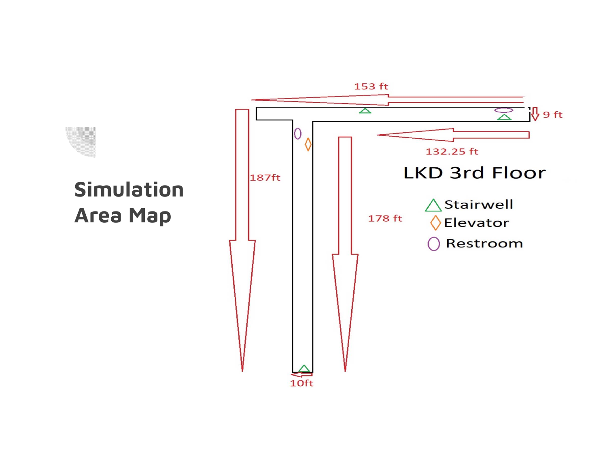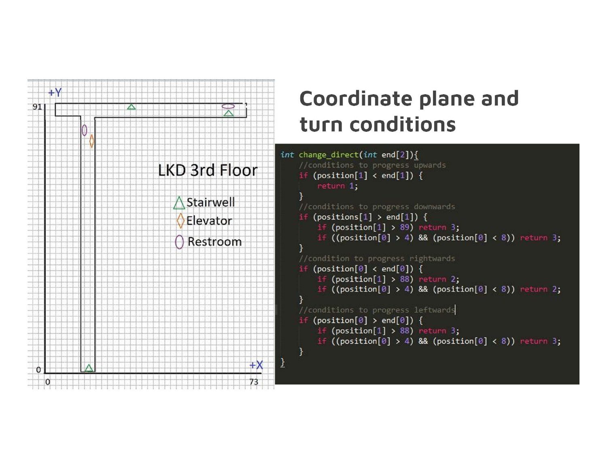

## **Coordinate plane and turn conditions**

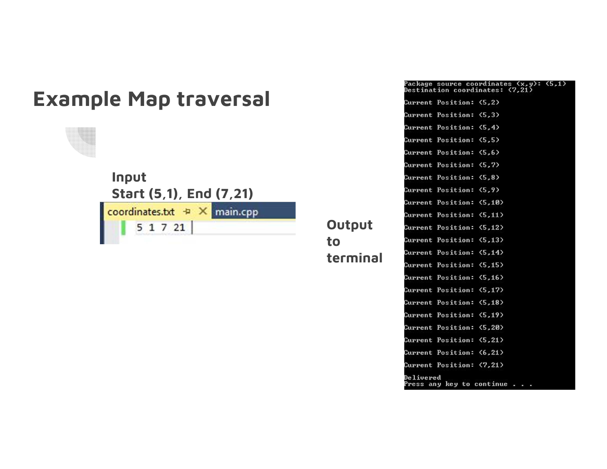### **Example Map traversal**

**Input Start (5,1), End (7,21)** coordinates.txt + X main.cpp  $5 1 7 21$ 

Package source coordinates (x,y): (5,1)<br>Destination coordinates: (7,21) Current Position: (5.2) Current Position: (5.3) Current Position: (5,4) Current Position: (5,5) Current Position: (5.6) Current Position: (5,7) Current Position: (5,8) **Current Position: (5,9)** Current Position: (5,10) Current Position: (5,11) Current Position: (5,12) Current Position: (5,13) Current Position: (5,14) Current Position: (5,15) **Current Position: (5,16)** Current Position: (5,17) Current Position: (5,18) **Current Position: (5,19) Current Position: (5,20)** Current Position: (5,21) Current Position: (6,21) Current Position: (7,21) Delivered Press any key to continue . . .

**Output to terminal**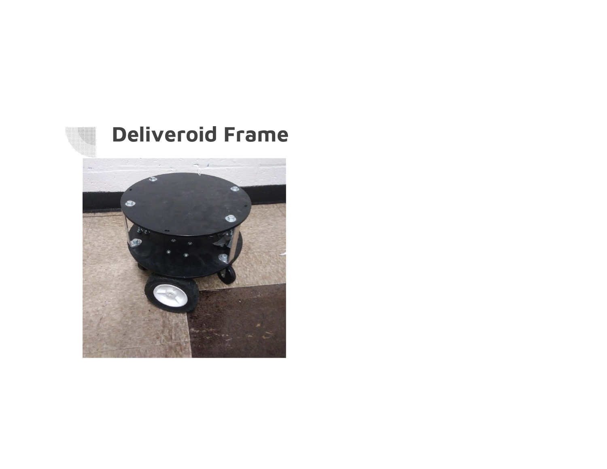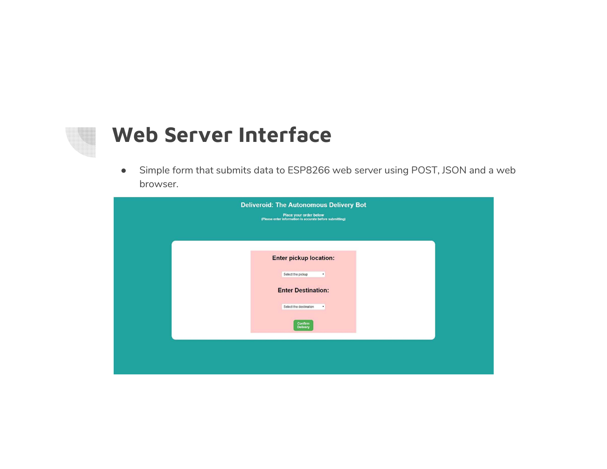### **Web Server Interface**

 $\bullet$  Simple form that submits data to ESP8266 web server using POST, JSON and a web browser.

|  | <b>Deliveroid: The Autonomous Delivery Bot</b><br>Place your order below<br>(Please enter information is accurate before submitting) |  |
|--|--------------------------------------------------------------------------------------------------------------------------------------|--|
|  | Enter pickup location:                                                                                                               |  |
|  | Select the pickup<br>$\blacksquare$<br><b>Enter Destination:</b>                                                                     |  |
|  | Select the destination<br>٠<br>Confirm<br><b>Delivery</b>                                                                            |  |
|  |                                                                                                                                      |  |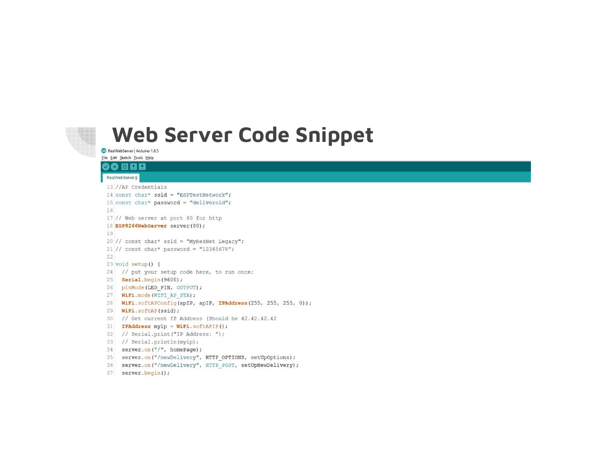### **Web Server Code Snippet**

CO RealWebServer | Arduino 1.8.5

#### File Edit Sketch Tools Help

#### 00 E E E

#### RealWebServer §

13 //AP Credentials 14 const char\* ssid = "ESPTestNetwork"; 15 const char\* password = "deliveroid"; 16 17 // Web server at port 80 for http 18 ESP8266WebServer server (80); 19 20 // const char\* ssid = "MyResNet Legacy";  $21$  // const char\* password = "12345678"; 22 23 void setup() { 24 // put your setup code here, to run once: 25 **Serial**.begin(9600); 26 pinMode(LED PIN, OUTPUT); 27 WiFi.mode(WIFI AP STA); 28 WiFi.softAPConfig(apIP, apIP, IPAddress(255, 255, 255, 0)); 29 WiFi.softAP(ssid); 30 // Get current IP Address (Should be 42.42.42.42 31 IPAddress myip = WiFi.softAPIP(); 32 // Serial.print("IP Address: "); 33 // Serial.println(myip); 34 server.on("/", homePage); 35 server.on("/newDelivery", HTTP OPTIONS, setUpOptions);

36 server.on("/newDelivery", HTTP\_POST, setUpNewDelivery);

```
37 server.begin();
```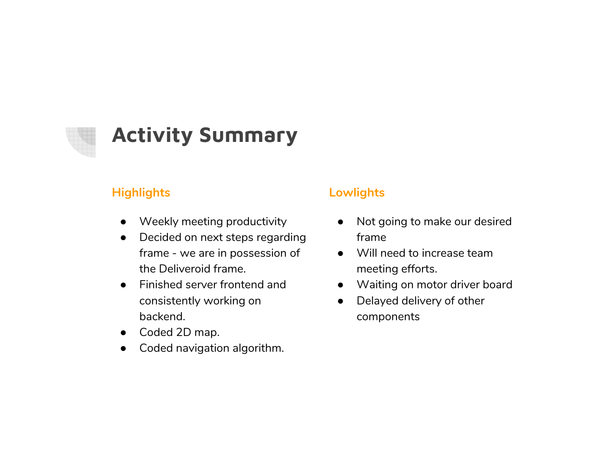### **Activity Summary**

### **Highlights**

- Weekly meeting productivity
- ● Decided on next steps regarding frame - we are in possession of the Deliveroid frame.
- $\bullet$  Finished server frontend and consistently working on backend.
- Coded 2D map.
- $\bullet$ Coded navigation algorithm.

### **Lowlights**

- $\bullet$  Not going to make our desired frame
- Will need to increase team meeting efforts.
- $\bullet$ Waiting on motor driver board
- $\bullet$  Delayed delivery of other components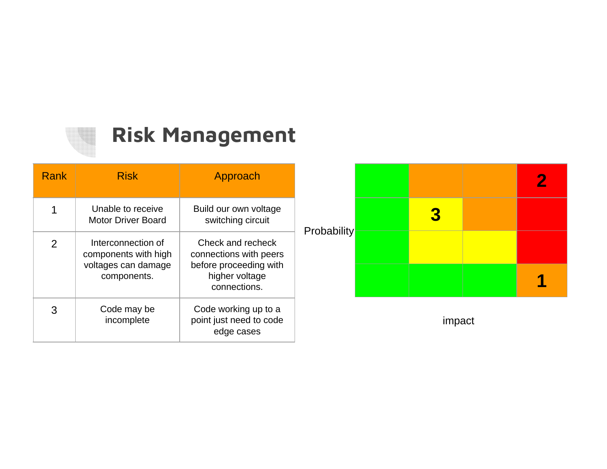## **Risk Management**

| <b>Rank</b>   | <b>Risk</b>                                                                      | Approach                                                                                                |                    |  |   |  |
|---------------|----------------------------------------------------------------------------------|---------------------------------------------------------------------------------------------------------|--------------------|--|---|--|
|               | Unable to receive<br><b>Motor Driver Board</b>                                   | Build our own voltage<br>switching circuit                                                              | <b>Probability</b> |  | 3 |  |
| $\mathcal{P}$ | Interconnection of<br>components with high<br>voltages can damage<br>components. | Check and recheck<br>connections with peers<br>before proceeding with<br>higher voltage<br>connections. |                    |  |   |  |
| 3             | Code may be<br>incomplete                                                        | Code working up to a<br>point just need to code<br>edge cases                                           | impact             |  |   |  |